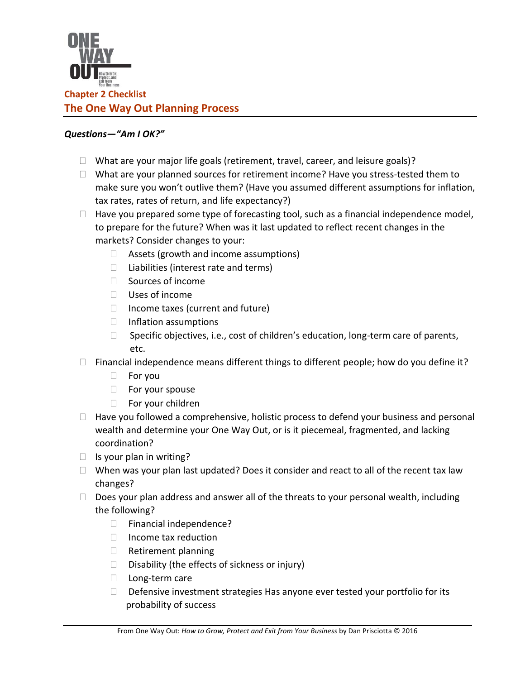

## *Questions—"Am I OK?"*

- $\Box$  What are your major life goals (retirement, travel, career, and leisure goals)?
- $\Box$  What are your planned sources for retirement income? Have you stress-tested them to make sure you won't outlive them? (Have you assumed different assumptions for inflation, tax rates, rates of return, and life expectancy?)
- $\Box$  Have you prepared some type of forecasting tool, such as a financial independence model, to prepare for the future? When was it last updated to reflect recent changes in the markets? Consider changes to your:
	- $\Box$  Assets (growth and income assumptions)
	- $\Box$  Liabilities (interest rate and terms)
	- $\Box$  Sources of income
	- $\Box$  Uses of income
	- $\Box$  Income taxes (current and future)
	- □ Inflation assumptions
	- $\Box$  Specific objectives, i.e., cost of children's education, long-term care of parents, etc.
- $\Box$  Financial independence means different things to different people; how do you define it?
	- $\Box$  For you
	- □ For your spouse
	- $\Box$  For your children
- $\Box$  Have you followed a comprehensive, holistic process to defend your business and personal wealth and determine your One Way Out, or is it piecemeal, fragmented, and lacking coordination?
- $\Box$  Is your plan in writing?
- $\Box$  When was your plan last updated? Does it consider and react to all of the recent tax law changes?
- $\Box$  Does your plan address and answer all of the threats to your personal wealth, including the following?
	- □ Financial independence?
	- $\Box$  Income tax reduction
	- □ Retirement planning
	- $\square$  Disability (the effects of sickness or injury)
	- $\Box$  Long-term care
	- $\Box$  Defensive investment strategies Has anyone ever tested your portfolio for its probability of success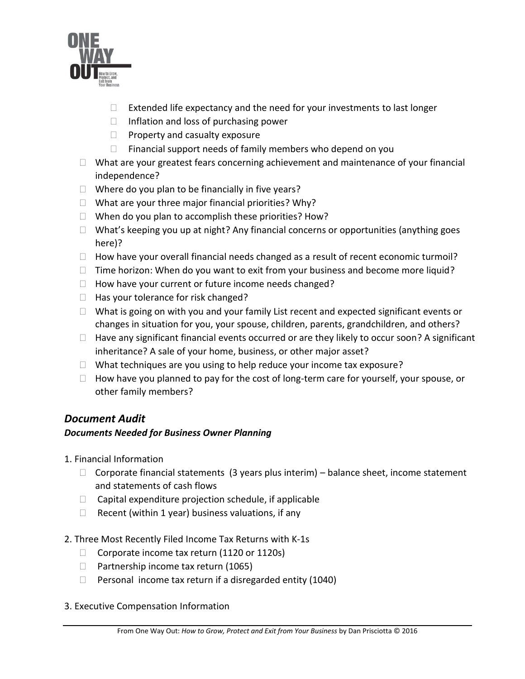

- $\Box$  Extended life expectancy and the need for your investments to last longer
- $\Box$  Inflation and loss of purchasing power
- $\Box$  Property and casualty exposure
- $\Box$  Financial support needs of family members who depend on you
- $\Box$  What are your greatest fears concerning achievement and maintenance of your financial independence?
- $\Box$  Where do you plan to be financially in five years?
- $\Box$  What are your three major financial priorities? Why?
- $\Box$  When do you plan to accomplish these priorities? How?
- $\Box$  What's keeping you up at night? Any financial concerns or opportunities (anything goes here)?
- $\Box$  How have your overall financial needs changed as a result of recent economic turmoil?
- $\Box$  Time horizon: When do you want to exit from your business and become more liquid?
- $\Box$  How have your current or future income needs changed?
- $\Box$  Has your tolerance for risk changed?
- $\Box$  What is going on with you and your family List recent and expected significant events or changes in situation for you, your spouse, children, parents, grandchildren, and others?
- $\Box$  Have any significant financial events occurred or are they likely to occur soon? A significant inheritance? A sale of your home, business, or other major asset?
- $\Box$  What techniques are you using to help reduce your income tax exposure?
- $\Box$  How have you planned to pay for the cost of long-term care for yourself, your spouse, or other family members?

## *Document Audit*

## *Documents Needed for Business Owner Planning*

- 1. Financial Information
	- $\Box$  Corporate financial statements (3 years plus interim) balance sheet, income statement and statements of cash flows
	- $\Box$  Capital expenditure projection schedule, if applicable
	- $\Box$  Recent (within 1 year) business valuations, if any
- 2. Three Most Recently Filed Income Tax Returns with K-1s
	- $\Box$  Corporate income tax return (1120 or 1120s)
	- $\Box$  Partnership income tax return (1065)
	- $\Box$  Personal income tax return if a disregarded entity (1040)
- 3. Executive Compensation Information